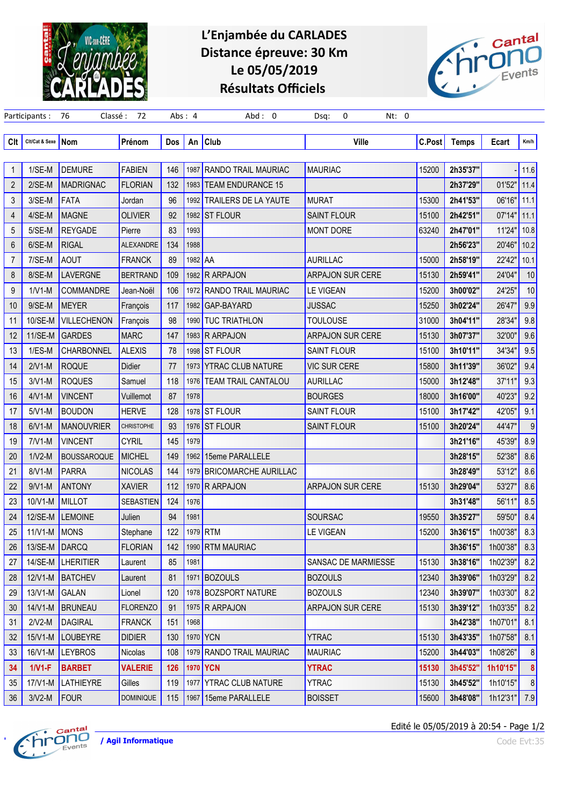

## L'Enjambée du CARLADES Distance épreuve: 30 Km Le 05/05/2019 Résultats Officiels



| Clt            | Cit/Cat & Sexe Nom |                    | Prénom            | Dos | An      | <b>Club</b>                 | Ville                   | C.Post | <b>Temps</b> | Ecart    | Km/h           |
|----------------|--------------------|--------------------|-------------------|-----|---------|-----------------------------|-------------------------|--------|--------------|----------|----------------|
| 1              | $1/SE-M$           | <b>DEMURE</b>      | <b>FABIEN</b>     | 146 |         | 1987 RANDO TRAIL MAURIAC    | <b>MAURIAC</b>          | 15200  | 2h35'37"     |          | 11.6           |
| $\overline{2}$ | $2/SE-M$           | MADRIGNAC          | <b>FLORIAN</b>    | 132 |         | 1983 TEAM ENDURANCE 15      |                         |        | 2h37'29"     | 01'52"   | 11.4           |
| 3              | 3/SE-M             | <b>FATA</b>        | Jordan            | 96  | 1992    | <b>TRAILERS DE LA YAUTE</b> | <b>MURAT</b>            | 15300  | 2h41'53"     | 06'16"   | 11.1           |
| 4              | 4/SE-M             | <b>MAGNE</b>       | <b>OLIVIER</b>    | 92  |         | 1982 ST FLOUR               | <b>SAINT FLOUR</b>      | 15100  | 2h42'51"     | 07'14"   | 11.1           |
| 5              | $5/SE-M$           | <b>REYGADE</b>     | Pierre            | 83  | 1993    |                             | <b>MONT DORE</b>        | 63240  | 2h47'01"     | 11'24"   | 10.8           |
| 6              | 6/SE-M             | <b>RIGAL</b>       | <b>ALEXANDRE</b>  | 134 | 1988    |                             |                         |        | 2h56'23"     | 20'46"   | 10.2           |
| $\overline{7}$ | 7/SE-M             | <b>AOUT</b>        | <b>FRANCK</b>     | 89  | 1982 AA |                             | <b>AURILLAC</b>         | 15000  | 2h58'19"     | 22'42"   | 10.1           |
| 8              | 8/SE-M             | LAVERGNE           | <b>BERTRAND</b>   | 109 |         | 1982 R ARPAJON              | <b>ARPAJON SUR CERE</b> | 15130  | 2h59'41"     | 24'04"   | 10             |
| 9              | $1/V1-M$           | <b>COMMANDRE</b>   | Jean-Noël         | 106 |         | 1972 RANDO TRAIL MAURIAC    | <b>LE VIGEAN</b>        | 15200  | 3h00'02"     | 24'25"   | 10             |
| 10             | 9/SE-M             | MEYER              | François          | 117 |         | 1982 GAP-BAYARD             | <b>JUSSAC</b>           | 15250  | 3h02'24"     | 26'47"   | 9.9            |
| 11             | 10/SE-M            | <b>VILLECHENON</b> | François          | 98  |         | 1990 TUC TRIATHLON          | <b>TOULOUSE</b>         | 31000  | 3h04'11"     | 28'34"   | 9.8            |
| 12             | 11/SE-M            | GARDES             | <b>MARC</b>       | 147 |         | 1983 R ARPAJON              | ARPAJON SUR CERE        | 15130  | 3h07'37"     | 32'00"   | 9.6            |
| 13             | $1/ES-M$           | <b>CHARBONNEL</b>  | <b>ALEXIS</b>     | 78  |         | 1998 ST FLOUR               | <b>SAINT FLOUR</b>      | 15100  | 3h10'11"     | 34'34"   | 9.5            |
| 14             | $2/V1-M$           | <b>ROQUE</b>       | Didier            | 77  |         | 1973 YTRAC CLUB NATURE      | <b>VIC SUR CERE</b>     | 15800  | 3h11'39"     | 36'02'   | 9.4            |
| 15             | $3/V1-M$           | <b>ROQUES</b>      | Samuel            | 118 |         | 1976 TEAM TRAIL CANTALOU    | <b>AURILLAC</b>         | 15000  | 3h12'48"     | 37'11"   | 9.3            |
| 16             | $4/V1-M$           | <b>VINCENT</b>     | Vuillemot         | 87  | 1978    |                             | <b>BOURGES</b>          | 18000  | 3h16'00"     | 40'23"   | 9.2            |
| 17             | $5/V1-M$           | <b>BOUDON</b>      | <b>HERVE</b>      | 128 |         | 1978 ST FLOUR               | <b>SAINT FLOUR</b>      | 15100  | 3h17'42"     | 42'05'   | 9.1            |
| 18             | $6/V1-M$           | MANOUVRIER         | <b>CHRISTOPHE</b> | 93  |         | 1976 ST FLOUR               | <b>SAINT FLOUR</b>      | 15100  | 3h20'24"     | 44'47"   | 9              |
| 19             | $7/V1-M$           | <b>VINCENT</b>     | <b>CYRIL</b>      | 145 | 1979    |                             |                         |        | 3h21'16"     | 45'39"   | 8.9            |
| 20             | $1/N2-M$           | <b>BOUSSAROQUE</b> | <b>MICHEL</b>     | 149 |         | 1962 15eme PARALLELE        |                         |        | 3h28'15"     | 52'38"   | 8.6            |
| 21             | 8/V1-M             | PARRA              | <b>NICOLAS</b>    | 144 |         | 1979 BRICOMARCHE AURILLAC   |                         |        | 3h28'49"     | 53'12"   | 8.6            |
| 22             | $9/V1-M$           | ANTONY             | <b>XAVIER</b>     | 112 |         | 1970 R ARPAJON              | ARPAJON SUR CERE        | 15130  | 3h29'04"     | 53'27'   | 8.6            |
| 23             | 10/V1-M            | <b>MILLOT</b>      | <b>SEBASTIEN</b>  | 124 | 1976    |                             |                         |        | 3h31'48"     | 56'11"   | 8.5            |
| 24             | 12/SE-M            | LEMOINE            | Julien            | 94  | 1981    |                             | SOURSAC                 | 19550  | 3h35'27"     | 59'50"   | 8.4            |
| 25             | $11/V1-M$          | MONS               | Stephane          | 122 |         | 1979 RTM                    | <b>LE VIGEAN</b>        | 15200  | 3h36'15"     | 1h00'38" | 8.3            |
| 26             | 13/SE-M DARCQ      |                    | <b>FLORIAN</b>    | 142 |         | 1990 RTM MAURIAC            |                         |        | 3h36'15"     | 1h00'38" | 8.3            |
| 27             |                    | 14/SE-M LHERITIER  | Laurent           | 85  | 1981    |                             | SANSAC DE MARMIESSE     | 15130  | 3h38'16"     | 1h02'39" | 8.2            |
| 28             |                    | 12/V1-M BATCHEV    | Laurent           | 81  |         | 1971 BOZOULS                | <b>BOZOULS</b>          | 12340  | 3h39'06"     | 1h03'29" | 8.2            |
| 29             | 13/V1-M GALAN      |                    | Lionel            | 120 |         | 1978 BOZSPORT NATURE        | <b>BOZOULS</b>          | 12340  | 3h39'07"     | 1h03'30" | 8.2            |
| 30             |                    | 14/V1-M BRUNEAU    | <b>FLORENZO</b>   | 91  |         | 1975 R ARPAJON              | ARPAJON SUR CERE        | 15130  | 3h39'12"     | 1h03'35" | 8.2            |
| 31             | $2/V2-M$           | <b>DAGIRAL</b>     | <b>FRANCK</b>     | 151 | 1968    |                             |                         |        | 3h42'38"     | 1h07'01" | 8.1            |
| 32             | $15/N1-M$          | LOUBEYRE           | <b>DIDIER</b>     | 130 |         | 1970 YCN                    | <b>YTRAC</b>            | 15130  | 3h43'35"     | 1h07'58" | 8.1            |
| 33             |                    | 16/V1-M LEYBROS    | Nicolas           | 108 |         | 1979 RANDO TRAIL MAURIAC    | <b>MAURIAC</b>          | 15200  | 3h44'03"     | 1h08'26" | 8              |
| 34             | $1/V1-F$           | <b>BARBET</b>      | <b>VALERIE</b>    | 126 |         | 1970 YCN                    | <b>YTRAC</b>            | 15130  | 3h45'52"     | 1h10'15" |                |
| 35             | 17/V1-M            | LATHIEYRE          | Gilles            | 119 |         | 1977 YTRAC CLUB NATURE      | <b>YTRAC</b>            | 15130  | 3h45'52"     | 1h10'15" | 8 <sup>1</sup> |
| 36             | $3/V2-M$           | FOUR               | <b>DOMINIQUE</b>  | 115 |         | 1967 15eme PARALLELE        | <b>BOISSET</b>          | 15600  | 3h48'08"     | 1h12'31" | 7.9            |



Edité le 05/05/2019 à 20:54 - Page 1/2